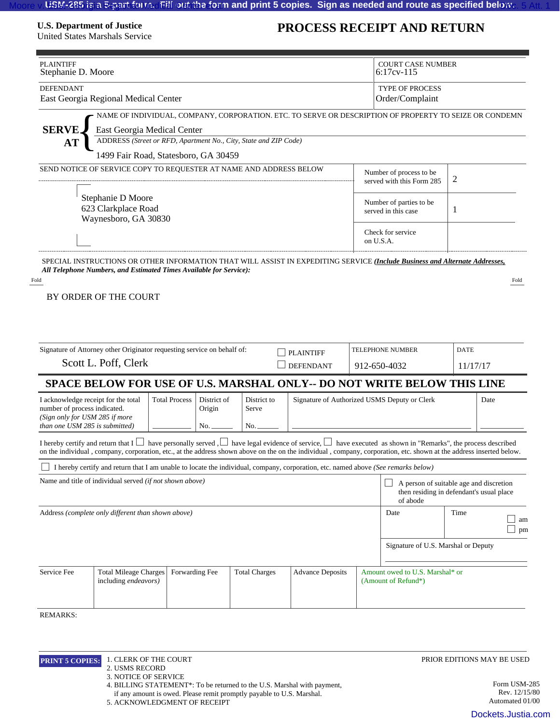## **U.S. Department of Justice**

United States Marshals Service

## **PROCESS RECEIPT AND RETURN**

|                                                                                                                                                                                                                                                                                                           | Stephanie D. Moore                                                                                                                                                                                                                                                                                                                                |                |  |                                                                       |                                                                         |           | <b>COURT CASE NUMBER</b><br>$6:17$ cv- $115$                                                                                      |      |                                                  |
|-----------------------------------------------------------------------------------------------------------------------------------------------------------------------------------------------------------------------------------------------------------------------------------------------------------|---------------------------------------------------------------------------------------------------------------------------------------------------------------------------------------------------------------------------------------------------------------------------------------------------------------------------------------------------|----------------|--|-----------------------------------------------------------------------|-------------------------------------------------------------------------|-----------|-----------------------------------------------------------------------------------------------------------------------------------|------|--------------------------------------------------|
| <b>DEFENDANT</b><br>East Georgia Regional Medical Center                                                                                                                                                                                                                                                  |                                                                                                                                                                                                                                                                                                                                                   |                |  |                                                                       |                                                                         |           | <b>TYPE OF PROCESS</b><br>Order/Complaint                                                                                         |      |                                                  |
|                                                                                                                                                                                                                                                                                                           |                                                                                                                                                                                                                                                                                                                                                   |                |  |                                                                       |                                                                         |           | NAME OF INDIVIDUAL, COMPANY, CORPORATION. ETC. TO SERVE OR DESCRIPTION OF PROPERTY TO SEIZE OR CONDEMN                            |      |                                                  |
| <b>SERVE</b>                                                                                                                                                                                                                                                                                              | East Georgia Medical Center                                                                                                                                                                                                                                                                                                                       |                |  |                                                                       |                                                                         |           |                                                                                                                                   |      |                                                  |
| <b>AT</b>                                                                                                                                                                                                                                                                                                 | ADDRESS (Street or RFD, Apartment No., City, State and ZIP Code)                                                                                                                                                                                                                                                                                  |                |  |                                                                       |                                                                         |           |                                                                                                                                   |      |                                                  |
|                                                                                                                                                                                                                                                                                                           | 1499 Fair Road, Statesboro, GA 30459                                                                                                                                                                                                                                                                                                              |                |  |                                                                       |                                                                         |           |                                                                                                                                   |      |                                                  |
| SEND NOTICE OF SERVICE COPY TO REQUESTER AT NAME AND ADDRESS BELOW                                                                                                                                                                                                                                        |                                                                                                                                                                                                                                                                                                                                                   |                |  |                                                                       |                                                                         |           | Number of process to be<br>2<br>served with this Form 285                                                                         |      |                                                  |
| Stephanie D Moore<br>623 Clarkplace Road<br>Waynesboro, GA 30830                                                                                                                                                                                                                                          |                                                                                                                                                                                                                                                                                                                                                   |                |  |                                                                       |                                                                         |           | Number of parties to be<br>1<br>served in this case                                                                               |      |                                                  |
|                                                                                                                                                                                                                                                                                                           |                                                                                                                                                                                                                                                                                                                                                   |                |  |                                                                       |                                                                         | on U.S.A. | Check for service                                                                                                                 |      |                                                  |
|                                                                                                                                                                                                                                                                                                           | SPECIAL INSTRUCTIONS OR OTHER INFORMATION THAT WILL ASSIST IN EXPEDITING SERVICE (Include Business and Alternate Addresses,                                                                                                                                                                                                                       |                |  |                                                                       |                                                                         |           |                                                                                                                                   |      |                                                  |
|                                                                                                                                                                                                                                                                                                           | BY ORDER OF THE COURT                                                                                                                                                                                                                                                                                                                             |                |  |                                                                       |                                                                         |           |                                                                                                                                   |      |                                                  |
|                                                                                                                                                                                                                                                                                                           | Signature of Attorney other Originator requesting service on behalf of:                                                                                                                                                                                                                                                                           |                |  |                                                                       | <b>X</b> PLAINTIFF                                                      |           | TELEPHONE NUMBER<br><b>DATE</b>                                                                                                   |      |                                                  |
|                                                                                                                                                                                                                                                                                                           | Scott L. Poff, Clerk                                                                                                                                                                                                                                                                                                                              |                |  |                                                                       | <b>DEFENDANT</b>                                                        |           | 912-650-4032<br>11/17/17                                                                                                          |      |                                                  |
|                                                                                                                                                                                                                                                                                                           |                                                                                                                                                                                                                                                                                                                                                   |                |  |                                                                       |                                                                         |           |                                                                                                                                   |      |                                                  |
| SPACE BELOW FOR USE OF U.S. MARSHAL ONLY-- DO NOT WRITE BELOW THIS LINE<br>I acknowledge receipt for the total<br><b>Total Process</b><br>District of<br>District to<br>number of process indicated.<br>Origin<br>Serve<br>(Sign only for USM 285 if more<br>than one USM 285 is submitted)<br>No.<br>No. |                                                                                                                                                                                                                                                                                                                                                   |                |  |                                                                       |                                                                         |           | Signature of Authorized USMS Deputy or Clerk                                                                                      |      | Date                                             |
|                                                                                                                                                                                                                                                                                                           | I hereby certify and return that $I \cup$ have personally served, $\cup$ have legal evidence of service, $\cup$ have executed as shown in "Remarks", the process described<br>on the individual, company, corporation, etc., at the address shown above on the on the individual, company, corporation, etc. shown at the address inserted below. |                |  |                                                                       |                                                                         |           |                                                                                                                                   |      |                                                  |
|                                                                                                                                                                                                                                                                                                           |                                                                                                                                                                                                                                                                                                                                                   |                |  |                                                                       |                                                                         |           | I hereby certify and return that I am unable to locate the individual, company, corporation, etc. named above (See remarks below) |      |                                                  |
|                                                                                                                                                                                                                                                                                                           |                                                                                                                                                                                                                                                                                                                                                   |                |  |                                                                       |                                                                         |           |                                                                                                                                   |      |                                                  |
|                                                                                                                                                                                                                                                                                                           | Name and title of individual served (if not shown above)                                                                                                                                                                                                                                                                                          |                |  |                                                                       |                                                                         |           | A person of suitable age and discretion<br>then residing in defendant's usual place<br>of abode                                   |      |                                                  |
|                                                                                                                                                                                                                                                                                                           | Address (complete only different than shown above)                                                                                                                                                                                                                                                                                                |                |  |                                                                       |                                                                         |           | Date                                                                                                                              | Time |                                                  |
|                                                                                                                                                                                                                                                                                                           |                                                                                                                                                                                                                                                                                                                                                   |                |  |                                                                       |                                                                         |           | Signature of U.S. Marshal or Deputy                                                                                               |      |                                                  |
|                                                                                                                                                                                                                                                                                                           |                                                                                                                                                                                                                                                                                                                                                   |                |  |                                                                       |                                                                         |           |                                                                                                                                   |      | am<br>pm                                         |
|                                                                                                                                                                                                                                                                                                           | <b>Total Mileage Charges</b><br>including endeavors)                                                                                                                                                                                                                                                                                              | Forwarding Fee |  | <b>Total Charges</b>                                                  | <b>Advance Deposits</b>                                                 |           | Amount owed to U.S. Marshal* or<br>(Amount of Refund*)                                                                            |      |                                                  |
|                                                                                                                                                                                                                                                                                                           |                                                                                                                                                                                                                                                                                                                                                   |                |  |                                                                       |                                                                         |           |                                                                                                                                   |      |                                                  |
|                                                                                                                                                                                                                                                                                                           |                                                                                                                                                                                                                                                                                                                                                   |                |  |                                                                       |                                                                         |           |                                                                                                                                   |      |                                                  |
| Service Fee<br><b>REMARKS:</b><br>PRINT 5 COPIES:                                                                                                                                                                                                                                                         | 1. CLERK OF THE COURT<br>2. USMS RECORD                                                                                                                                                                                                                                                                                                           |                |  |                                                                       |                                                                         |           |                                                                                                                                   |      | PRIOR EDITIONS MAY BE USED                       |
|                                                                                                                                                                                                                                                                                                           | 3. NOTICE OF SERVICE<br>5. ACKNOWLEDGMENT OF RECEIPT                                                                                                                                                                                                                                                                                              |                |  | if any amount is owed. Please remit promptly payable to U.S. Marshal. | 4. BILLING STATEMENT*: To be returned to the U.S. Marshal with payment, |           |                                                                                                                                   |      | Form USM-285<br>Rev. 12/15/80<br>Automated 01/00 |

- 3. NOTICE OF SERVICE
-